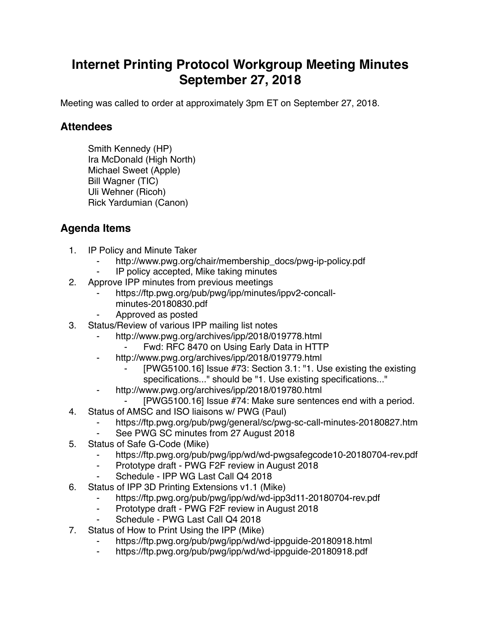## **Internet Printing Protocol Workgroup Meeting Minutes September 27, 2018**

Meeting was called to order at approximately 3pm ET on September 27, 2018.

## **Attendees**

Smith Kennedy (HP) Ira McDonald (High North) Michael Sweet (Apple) Bill Wagner (TIC) Uli Wehner (Ricoh) Rick Yardumian (Canon)

## **Agenda Items**

- 1. IP Policy and Minute Taker
	- http://www.pwg.org/chair/membership\_docs/pwg-ip-policy.pdf
	- IP policy accepted, Mike taking minutes
- 2. Approve IPP minutes from previous meetings
	- https://ftp.pwg.org/pub/pwg/ipp/minutes/ippv2-concallminutes-20180830.pdf
	- ⁃ Approved as posted
- 3. Status/Review of various IPP mailing list notes
	- http://www.pwg.org/archives/ipp/2018/019778.html
		- Fwd: RFC 8470 on Using Early Data in HTTP
	- ⁃ http://www.pwg.org/archives/ipp/2018/019779.html
		- [PWG5100.16] Issue #73: Section 3.1: "1. Use existing the existing specifications..." should be "1. Use existing specifications..."
	- http://www.pwg.org/archives/ipp/2018/019780.html
	- [PWG5100.16] Issue #74: Make sure sentences end with a period.
- 4. Status of AMSC and ISO liaisons w/ PWG (Paul)
	- https://ftp.pwg.org/pub/pwg/general/sc/pwg-sc-call-minutes-20180827.htm
	- ⁃ See PWG SC minutes from 27 August 2018
- 5. Status of Safe G-Code (Mike)
	- https://ftp.pwg.org/pub/pwg/ipp/wd/wd-pwgsafegcode10-20180704-rev.pdf
	- ⁃ Prototype draft PWG F2F review in August 2018
	- Schedule IPP WG Last Call Q4 2018
- 6. Status of IPP 3D Printing Extensions v1.1 (Mike)
	- https://ftp.pwg.org/pub/pwg/ipp/wd/wd-ipp3d11-20180704-rev.pdf
	- ⁃ Prototype draft PWG F2F review in August 2018
	- Schedule PWG Last Call Q4 2018
- 7. Status of How to Print Using the IPP (Mike)
	- https://ftp.pwg.org/pub/pwg/ipp/wd/wd-ippguide-20180918.html
	- https://ftp.pwg.org/pub/pwg/ipp/wd/wd-ippguide-20180918.pdf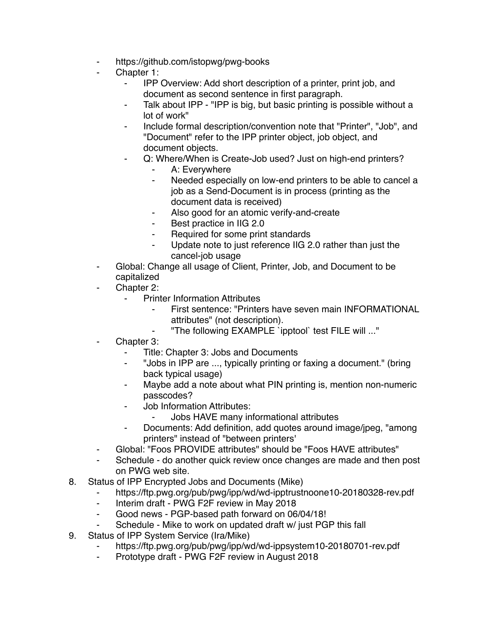- ⁃ https://github.com/istopwg/pwg-books
- Chapter 1:
	- ⁃ IPP Overview: Add short description of a printer, print job, and document as second sentence in first paragraph.
	- ⁃ Talk about IPP "IPP is big, but basic printing is possible without a lot of work"
	- ⁃ Include formal description/convention note that "Printer", "Job", and "Document" refer to the IPP printer object, job object, and document objects.
	- Q: Where/When is Create-Job used? Just on high-end printers?
		- A: Everywhere
		- ⁃ Needed especially on low-end printers to be able to cancel a job as a Send-Document is in process (printing as the document data is received)
		- ⁃ Also good for an atomic verify-and-create
		- Best practice in IIG 2.0
		- Required for some print standards
		- Update note to just reference IIG 2.0 rather than just the cancel-job usage
- ⁃ Global: Change all usage of Client, Printer, Job, and Document to be capitalized
- Chapter 2:
	- **Printer Information Attributes** 
		- ⁃ First sentence: "Printers have seven main INFORMATIONAL attributes" (not description).
		- "The following EXAMPLE `ipptool` test FILE will ..."
- Chapter 3:
	- Title: Chapter 3: Jobs and Documents
	- ⁃ "Jobs in IPP are ..., typically printing or faxing a document." (bring back typical usage)
	- ⁃ Maybe add a note about what PIN printing is, mention non-numeric passcodes?
	- Job Information Attributes:
		- ⁃ Jobs HAVE many informational attributes
	- ⁃ Documents: Add definition, add quotes around image/jpeg, "among printers" instead of "between printers'
- ⁃ Global: "Foos PROVIDE attributes" should be "Foos HAVE attributes"
- Schedule do another quick review once changes are made and then post on PWG web site.
- 8. Status of IPP Encrypted Jobs and Documents (Mike)
	- https://ftp.pwg.org/pub/pwg/ipp/wd/wd-ipptrustnoone10-20180328-rev.pdf
	- ⁃ Interim draft PWG F2F review in May 2018
	- Good news PGP-based path forward on 06/04/18!
	- Schedule Mike to work on updated draft w/ just PGP this fall
- 9. Status of IPP System Service (Ira/Mike)
	- https://ftp.pwg.org/pub/pwg/ipp/wd/wd-ippsystem10-20180701-rev.pdf
	- ⁃ Prototype draft PWG F2F review in August 2018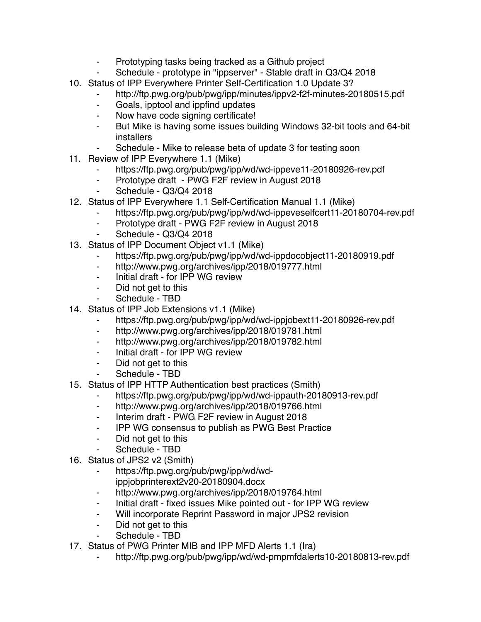- Prototyping tasks being tracked as a Github project
- Schedule prototype in "ippserver" Stable draft in Q3/Q4 2018
- 10. Status of IPP Everywhere Printer Self-Certification 1.0 Update 3?
	- ⁃ http://ftp.pwg.org/pub/pwg/ipp/minutes/ippv2-f2f-minutes-20180515.pdf
	- ⁃ Goals, ipptool and ippfind updates
	- ⁃ Now have code signing certificate!
	- ⁃ But Mike is having some issues building Windows 32-bit tools and 64-bit installers
	- Schedule Mike to release beta of update 3 for testing soon
- 11. Review of IPP Everywhere 1.1 (Mike)
	- https://ftp.pwg.org/pub/pwg/ipp/wd/wd-ippeve11-20180926-rev.pdf
	- ⁃ Prototype draft PWG F2F review in August 2018
	- Schedule Q3/Q4 2018
- 12. Status of IPP Everywhere 1.1 Self-Certification Manual 1.1 (Mike)
	- ⁃ https://ftp.pwg.org/pub/pwg/ipp/wd/wd-ippeveselfcert11-20180704-rev.pdf
	- Prototype draft PWG F2F review in August 2018
	- Schedule Q3/Q4 2018
- 13. Status of IPP Document Object v1.1 (Mike)
	- https://ftp.pwg.org/pub/pwg/ipp/wd/wd-ippdocobject11-20180919.pdf
	- ⁃ http://www.pwg.org/archives/ipp/2018/019777.html
	- ⁃ Initial draft for IPP WG review
	- ⁃ Did not get to this
	- Schedule TBD
- 14. Status of IPP Job Extensions v1.1 (Mike)
	- https://ftp.pwg.org/pub/pwg/ipp/wd/wd-ippjobext11-20180926-rev.pdf
	- ⁃ http://www.pwg.org/archives/ipp/2018/019781.html
	- ⁃ http://www.pwg.org/archives/ipp/2018/019782.html
	- ⁃ Initial draft for IPP WG review
	- ⁃ Did not get to this
	- Schedule TBD
- 15. Status of IPP HTTP Authentication best practices (Smith)
	- ⁃ https://ftp.pwg.org/pub/pwg/ipp/wd/wd-ippauth-20180913-rev.pdf
	- http://www.pwg.org/archives/ipp/2018/019766.html
	- Interim draft PWG F2F review in August 2018
	- ⁃ IPP WG consensus to publish as PWG Best Practice
	- Did not get to this
	- Schedule TBD
- 16. Status of JPS2 v2 (Smith)
	- ⁃ https://ftp.pwg.org/pub/pwg/ipp/wd/wdippjobprinterext2v20-20180904.docx
	- http://www.pwg.org/archives/ipp/2018/019764.html
	- ⁃ Initial draft fixed issues Mike pointed out for IPP WG review
	- Will incorporate Reprint Password in major JPS2 revision
	- ⁃ Did not get to this
	- Schedule TBD
- 17. Status of PWG Printer MIB and IPP MFD Alerts 1.1 (Ira)
	- http://ftp.pwg.org/pub/pwg/ipp/wd/wd-pmpmfdalerts10-20180813-rev.pdf